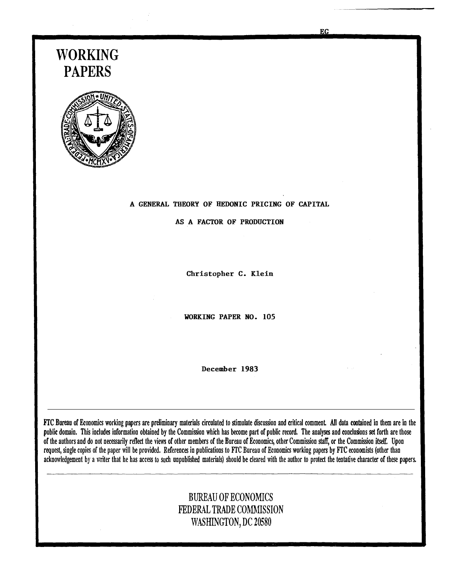# WORKING PAPERS



#### A GENERAL THEORY OF HEDONIC PRICING OF CAPITAL

AS A FACTOR OF PRODUCTION

Christopher C. Klein

WORKING PAPER NO. 105

December 1983

FTC Bureau of Economics working papers are preliminary materials circulated to stimulate discussion and critical comment. All data contained in them are in the public domain. This includes information obtained by the Commission which has become part of public record. The analyses and conclusions set forth are those of the authors and do not necessarily reflect the views of other members of the Bureau of Economics, other Commission staff, or the Commission itself. Upon request, single copies of the paper will be provided. References in publications to FfC Bureau of Economics working papers by FfC economists (other than acknowledgement by a writer that he has access to such unpublished materials) should be cleared with the author to protect the tentative character of these papers.

# BUREAU OF ECONOMICS FEDERAL TRADE COMMISSION WASHINGTON, DC 20580

**EG**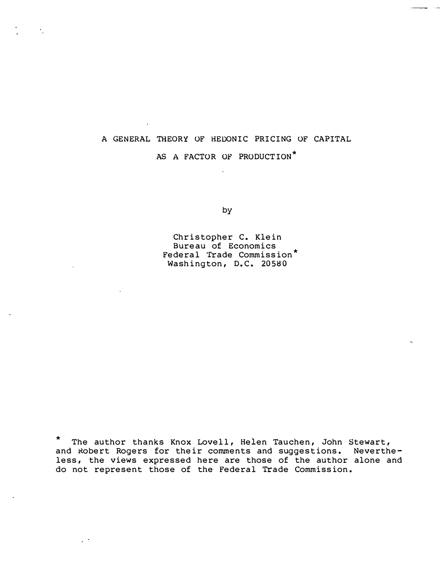## A GENERAL THEORY OF HEDONIC PRICING OF CAPITAL

# AS A FACTOR OF PRODUCTION\*  $\ddot{\phantom{a}}$

by

Christopher C. Klein Bureau of Economics Federal Trade Commission\* Washington, D.C. 20580

\* The author thanks Knox Lovell, Helen Tauchen, John Stewart, and Robert Rogers for their comments and suggestions. Nevertheless, the views expressed here are those of the author alone and do not represent those of the Federal Trade Commission.

 $\mathcal{L}^{(1)}$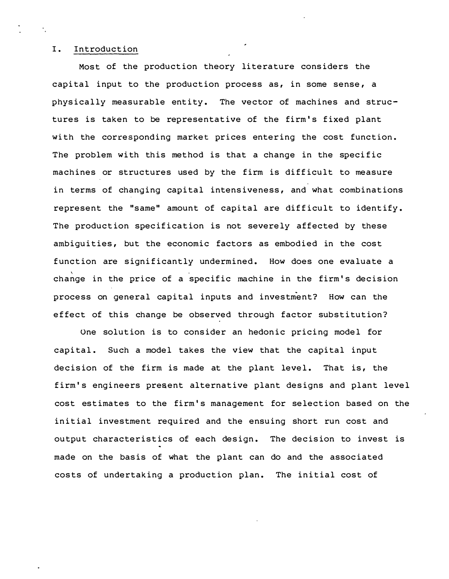#### I. Introduction

Most of the production theory literature considers the capital input to the production process as, in some sense, a physically measurable entity. The vector of machines and structures is taken to be representative of the firm's fixed plant with the corresponding market prices entering the cost function. The problem with this method is that a change in the specific machines or structures used by the firm is difficult to measure in terms of changing capital intensiveness, and what combinations represent the "same" amount of capital are difficult to identify. The production specification is not severely affected by these ambiguities, but the economic factors as embodied in the cost function are significantly undermined. How does one evaluate a  $\mathcal{N}$  is a set of the set of the set of the set of the set of the set of the set of the set of the set of the set of the set of the set of the set of the set of the set of the set of the set of the set of the set of th change in the price of a specific machine in the firm's decision process on general capital inputs and investment? How can the effect of this change be observed through factor substitution?

One solution is to consider an hedonic pricing model for capital. Such a model takes the view that the capital input decision of the firm is made at the plant level. That is, the firm's engineers present alternative plant designs and plant level cost estimates to the firm's management for selection based on the initial investment required and the ensuing short run cost and output characteristics of each design. The decision to invest is made on the basis of what the plant can do and the associated costs of undertaking a production plan. The initial cost of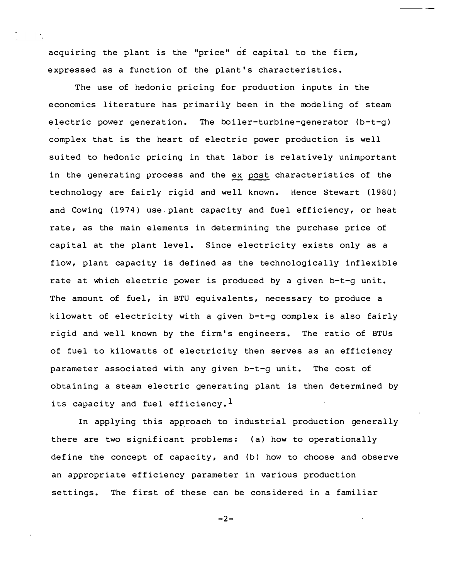acquiring the plant is the "price" of capital to the firm, expressed as a function of the plant's characteristics.

in the generating process and the ex post characteristics of the The use of hedonic pricing for production inputs in the economics literature has primarily been in the modeling of steam electric power generation. The boiler-turbine-generator (b-t-g) complex that is the heart of electric power production is well suited to hedonic pricing in that labor is relatively unimportant technology are fairly rigid and well known. Hence Stewart (1980) and Cowing (1974) use plant capacity and fuel efficiency, or heat rate, as the main elements in determining the purchase price of capital at the plant level. Since electricity exists only as a flow, plant capacity is defined as the technologically inflexible rate at which electric power is produced by a given b-t-g unit. The amount of fuel, in BTU equivalents, necessary to produce a kilowatt of electricity with a given b-t-g complex is also fairly rigid and well known by the firm's engineers. The ratio of BTUs of fuel to kilowatts of electricity then serves as an efficiency parameter associated with any given b-t-g unit. The cost of obtaining a steam electric generating plant is then determined by its capacity and fuel efficiency.<sup>1</sup>

In applying this approach to industrial production generally there are two significant problems: (a) how to operationally define the concept of capacity, and  $(b)$  how to choose and observe an appropriate efficiency parameter in various production settings. The first of these can be considered in a familiar

 $-2-$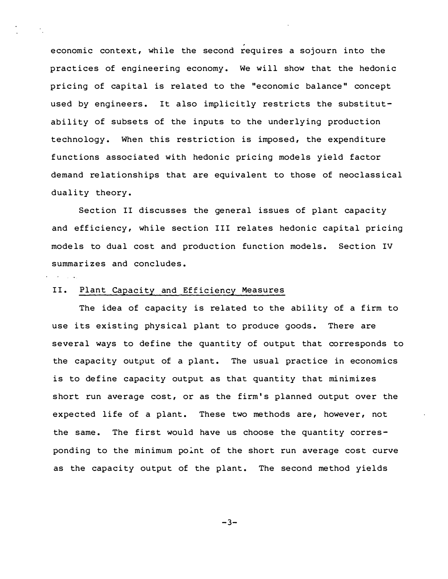economic context, while the second requires a sojourn into the practices of engineering economy. We will show that the hedonic pricing of capital is related to the "economic balance" concept used by engineers. It also implicitly restricts the substitutability of subsets of the inputs to the underlying production technology. When this restriction is imposed, the expenditure functions associated with hedonic pricing models yield factor demand relationships that are equivalent to those of neoclassical duality theory.

Section II discusses the general issues of plant capacity and efficiency, while section III relates hedonic capital pricing models to dual cost and production function models. Section IV summarizes and concludes.

#### II. Plant Capacity and Efficiency Measures

The idea of capacity is related to the ability of a firm to use its existing physical plant to produce goods. There are several ways to define the quantity of output that corresponds to the capacity output of a plant. The usual practice in economics is to define capacity output as that quantity that minimizes short run average cost, or as the firm's planned output over the expected life of a plant. These two methods are, however, not the same. The first would have us choose the quantity corresponding to the minimum point of the short run average cost curve as the capacity output of the plant. The second method yields

-3-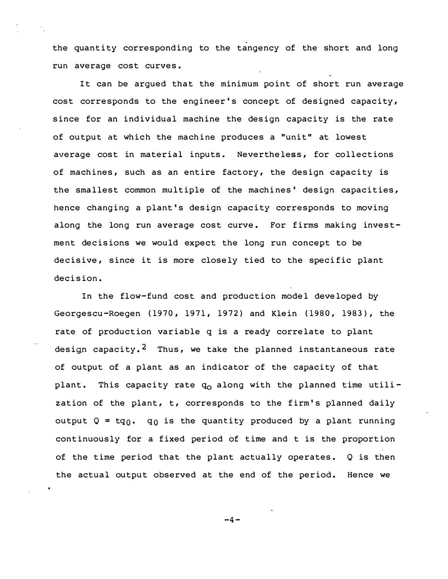the quantity corresponding to the tangency of the short and long run average cost curves.

It can be arqued that the minimum point of short run average cost corresponds to the engineer's concept of designed capacity, since for an individual machine the design capacity is the rate of output at which the machine produces a "unit" at lowest average cost in material inputs. Nevertheless, for collections of machines, such as an entire fact ory, the design capacity is the smallest common multiple of the machines' design capacities, hence changing a plant's design capacity corresponds to moving along the long run average cost curve. For firms making investment decisions we would expect the long run concept to be decisive, since it is more closely tied to the specific plant decision.

In the flow-fund cost and production model developed by Georgescu -Roegen (1970, 1971, 1972) and Klein (1980, 1983), the rate of production variable q is a ready correlate to plant design capacity.<sup>2</sup> Thus, we take the planned instantaneous rate of output of a plant as an indicator of the capacity of that plant. This capacity rate  $q_0$  along with the planned time utilization of the plant, t, corresponds to the firm's planned daily output Q = t ${\tt q_0.}$   ${\tt q_0}$  is the quantity produced by a plant running continuously for a fixed period of time and t is the proportion of the time period that the plant actually operates. Q is then the actual output observed at the end of the period. Hence we

 $-4-$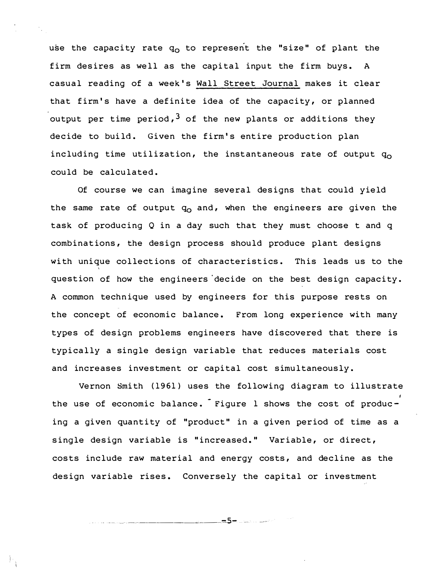use the capacity rate  $q_{\Omega}$  to represent the "size" of plant the firm desires as well as the capital input the firm buys. A casual reading of a week's Wall Street Journal makes it clear that firm's have a definite idea of the capacity, or planned output per time period,  $3$  of the new plants or additions they decide to build. Given the firm's entire production plan including time utilization, the instantaneous rate of output  $q_0$ could be calculated.

Of course we can imagine several designs that could yield the same rate of output  $q_0$  and, when the engineers are given the task of producing  $Q$  in a day such that they must choose t and  $q$ combinations, the design process should produce plant designs with unique collections of characteristics. This leads us to the question of how the engineers decide on the best design capacity. A common technique used by engineers for this purpose rests on the concept of economic balance. From long experience with many types of design problems engineers have discovered that there is typically a single design variable that reduces materials cost and increases investment or capital cost simultaneously.

Vernon Smith (1961) uses the following diagram to illustrate the use of economic balance. Figure 1 shows the cost of producing a given quantity of "product" in a given period of time as a single design variable is "increased." Variable, or direct, costs include raw material and energy costs, and decline as the design variable rises. Conversely the capital or investment

-- ··· - -----·-------..-C----"'".5-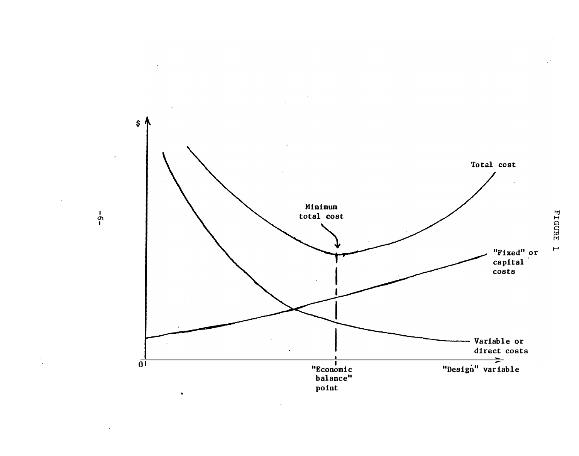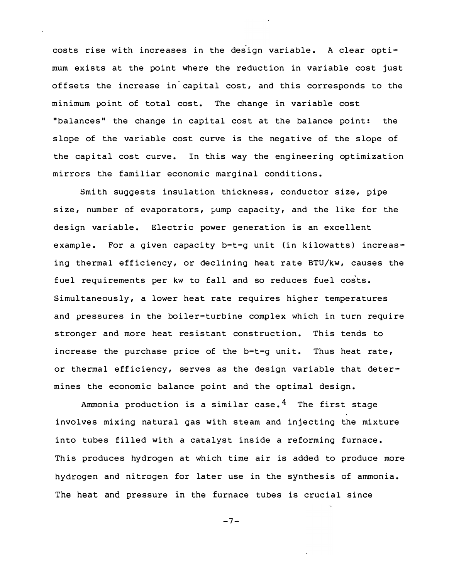costs rise with increases in the design variable. A clear optimum exists at the point where the reduction in variable cost just offsets the increase in capital cost, and this corresponds to the minimum point of total cost. The change in variable cost "balances" the change in capital cost at the balance point: the slope of the variable cost curve is the negative of the slope of the capital cost curve. In this way the engineering optimization mirrors the familiar economic marginal conditions.

Smith suggests insulation thickness, conductor size, pipe size, number of evaporators, pump capacity, and the like for the design variable. Electric power generation is an excellent example. For a given capacity b-t-g unit (in kilowatts) increasing thermal efficiency, or declining heat rate BTU/kw, causes the fuel requirements per kw to fall and so reduces fuel costs. Simultaneously, a lower heat rate requires higher temperatures and pressures in the boiler-turbine complex which in turn require stronger and more heat resistant construction. This tends to increase the purchase price of the b-t-g unit. Thus heat rate, or thermal efficiency, serves as the design variable that determines the economic balance point and the optimal design.

Ammonia production is a similar case.<sup>4</sup> The first stage involves mixing natural gas with steam and injecting the mixture into tubes filled with a catalyst inside a reforming furnace. This produces hydrogen at which time air is added to produce more hydrogen and nitrogen for later use in the synthesis of ammonia. The heat and pressure in the furnace tubes is crucial since

$$
-7-
$$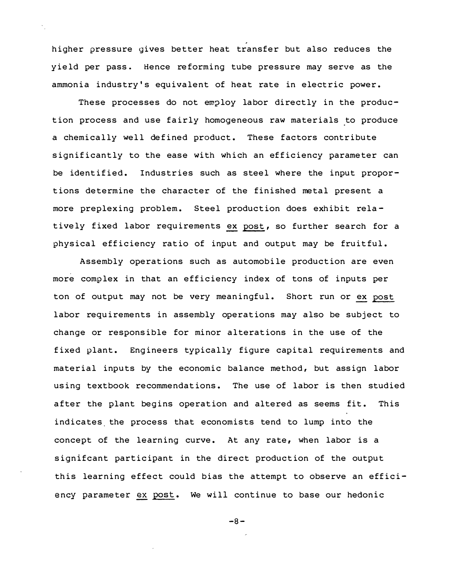higher pressure gives better heat transfer but also reduces the yield per pass. Hence re forming tube pressure may serve as the ammonia industry's equivalent of heat rate in electric power.

tively fixed labor requirements <u>ex</u> post, so further search for a These processes do not employ labor directly in the production process and use fairly homogeneous raw materials to produce a chemically well defined product. These factors contribute significantly to the ease with which an efficiency parameter can be identified. Industries such as steel where the input proportions determine the character of the finished metal present a more preplexing problem. Steel production does exhibit relaphysical efficiency ratio of input and output may be fruitful.

ton of output may not be very meaningful. Short run or ex post ency parameter ex post. We will continue to base our hedonic Assembly operations such as automobile production are even more complex in that an efficiency index of tons of inputs per labor requirements in assembly operations may also be subject to change or responsible for minor alterations in the use of the fixed plant. Engineers typically figure capital requirements and material inputs by the economic balance method, but assign labor using textbook recommendations. The use of labor is then studied after the plant begins operation and altered as seems fit. This indicates the process that economists tend to lump into the concept of the learning curve. At any rate, when labor is a signifcant participant in the direct production of the output this learning effect could bias the attempt to observe an effici-

 $-8-$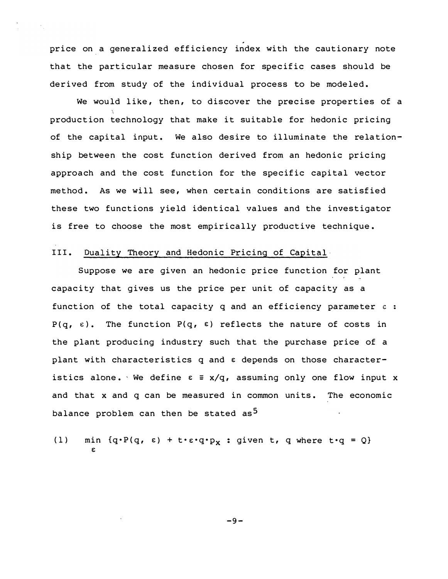price on a generalized efficiency index with the cautionary note that the particular measure chosen for specific cases should be derived from study of the individual process to be modeled.

We would like, then, to discover the precise properties of a production technology that make it suitable for hedonic pricing of the capital input. We also desire to illuminate the relationship between the cost function derived from an hedonic pricing approach and the cost function for the specific capital vector method. As we will see, when certain conditions are satisfied these two functions yield identical values and the investigator is free to choose the most empirically productive technique.

#### III. Duality Theory and Hedonic Pricing of Capital

Suppose we are given an hedonic price function for plant capacity that gives us the price per unit of capacity as a function of the total capacity q and an efficiency parameter  $\varepsilon$  :  $P(q, \varepsilon)$ . The function  $P(q, \varepsilon)$  reflects the nature of costs in the plant producing industry such that the purchase price of a plant with characteristics q and  $\varepsilon$  depends on those characteristics alone. We define  $\varepsilon = x/q$ , assuming only one flow input x and that x and q can be measured in common units. The economic balance problem can then be stated as<sup>5</sup>

(1) min  $\{q \cdot P(q, \varepsilon) + t \cdot \varepsilon \cdot q \cdot p_x : giv$ en t, q where t $\cdot q = Q\}$ €

 $-9-$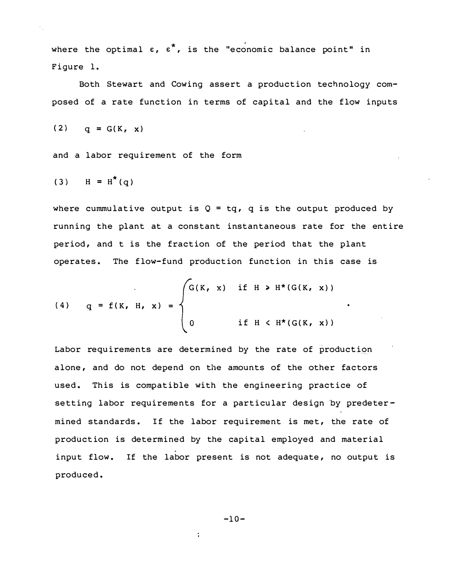where the optimal  $\varepsilon$ ,  $\varepsilon^*$ , is the "economic balance point" in Figure 1.

Both Stewart and Cowing assert a production technology composed of a rate function in terms of capital and the flow inputs

$$
(2) \qquad q = G(K, x)
$$

and a labor requirement of the form

$$
(3) \quad H = H^*(q)
$$

where cummulative output is  $Q = tq$ , q is the output produced by running the plant at a constant instantaneous rate for the entire period, and t is the fraction of the period that the plant operates. The flow-fund production function in this case is

(4) 
$$
q = f(K, H, x) =
$$
\n
$$
\begin{cases}\nG(K, x) & \text{if } H > H^*(G(K, x)) \\
0 & \text{if } H < H^*(G(K, x))\n\end{cases}
$$

Labor requirements are determined by the rate of production alone, and do not depend on the amounts of the other factors used. This is compatible with the engineering practice of setting labor requirements for a particular design by predetermined standards. If the labor requirement is met, the rate of production is determined by the capital employed and material input flow. If the labor present is not adequate, no output is produced.

$$
-10-
$$

 $\ddot{\phantom{a}}$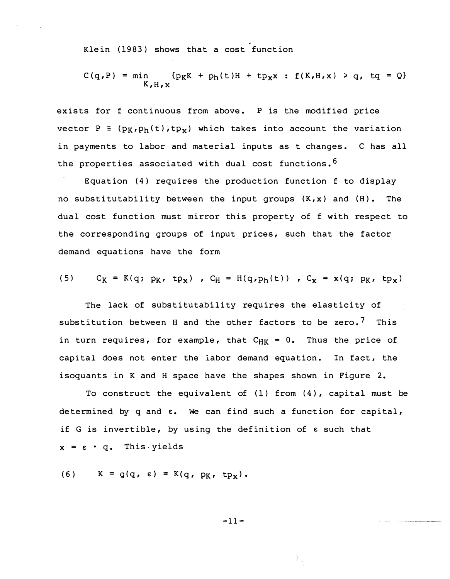Klein (1983) shows that a cost function

$$
C(q, P) = min \{p_KK + p_h(t)H + tp_Xx : f(K, H, x) > q, tq = Q\}
$$

.

exists for f continuous from above. P is the modified price vector P =  $(p_K, p_h(t), tp_x)$  which takes into account the variation in payments to labor and material inputs as t changes. C has all the properties associated with dual cost functions.  $6$ 

Equation (4) requires the production function f to display no substitutability between the input groups  $(K, x)$  and  $(H)$ . The dual cost function must mirror this property of f with respect to the corresponding groups of input prices, such that the factor demand equations have the form

(5) 
$$
C_K = K(q; p_K, tp_x)
$$
,  $C_H = H(q, p_h(t))$ ,  $C_X = x(q; p_K, tp_x)$ 

The lack of substitutability requires the elasticity of substitution between H and the other factors to be zero.<sup>7</sup> This in turn requires, for example, that  $C_{HK} = 0$ . Thus the price of capital does not enter the labor demand equation. In fact, the isoquants in K and H space have the shapes shown in Figure 2.

To construct the equivalent of (1) from (4), capital must be determined by  $q$  and  $\varepsilon$ . We can find such a function for capital, if G is invertible, by using the definition of e such that  $x = \varepsilon \cdot q$ . This yields

(6) 
$$
K = g(q, \varepsilon) = K(q, p_K, tp_X)
$$
.

 $-11-$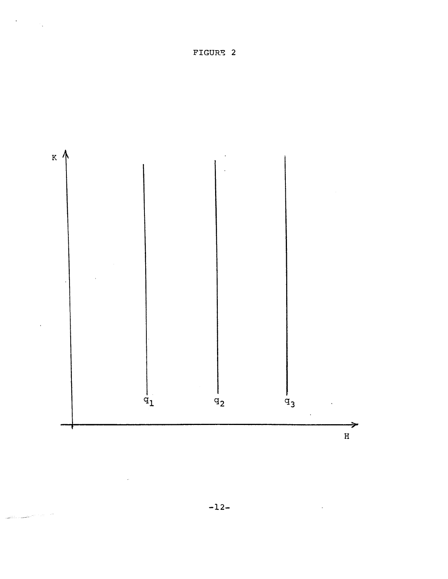FIGURE 2

 $\sigma_{\rm{eff}}$  and  $\sigma_{\rm{g}}$ 

 $\mathbb{R}^n$  , and  $\mathbb{R}^n$ 

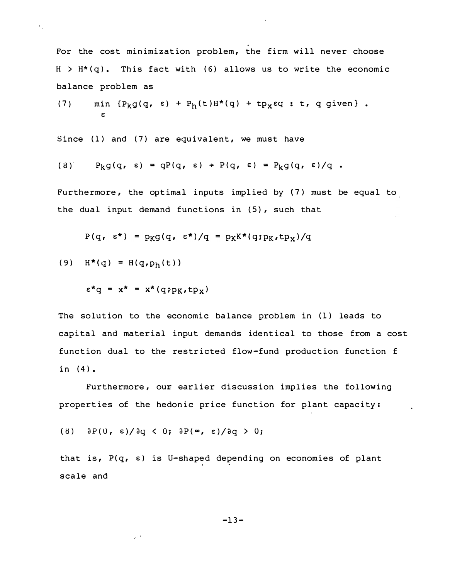For the cost minimization problem, the firm will never choose  $H > H^*(q)$ . This fact with (6) allows us to write the economic balance problem as

.

(7) min 
$$
\{P_k g(q, \varepsilon) + P_h(t)H^*(q) + tp_x \varepsilon q : t, q \text{ given} \}.
$$

Since (1) and (7) are equivalent, we must have

$$
(8) \qquad P_k g(q, \varepsilon) = qP(q, \varepsilon) + P(q, \varepsilon) = P_k g(q, \varepsilon) / q.
$$

Furthermore, the optimal inputs implied by (7) must be equal to the dual input demand functions in (5), such that

$$
P(q, \varepsilon^*) = p_K g(q, \varepsilon^*)/q = p_K K^*(q:p_K, tp_X)/q
$$

(9)  $H^*(q) = H(q, p_h(t))$ 

 $\epsilon^* q = x^* = x^*(q; p_K, tp_X)$ 

The solution to the economic balance problem in (1) leads to capital and material input demands identical to those from a cost function dual to the restricted flow -fund production function f in (4).

Furthermore, our earlier discussion implies the following properties of the hedonic price function for plant capacity:

(8)  $\partial P(0, \epsilon)/\partial q < 0$ ;  $\partial P(\infty, \epsilon)/\partial q > 0$ ;

 $\omega$   $\rightarrow$ 

that is,  $P(q, \varepsilon)$  is U-shaped depending on economies of plant scale and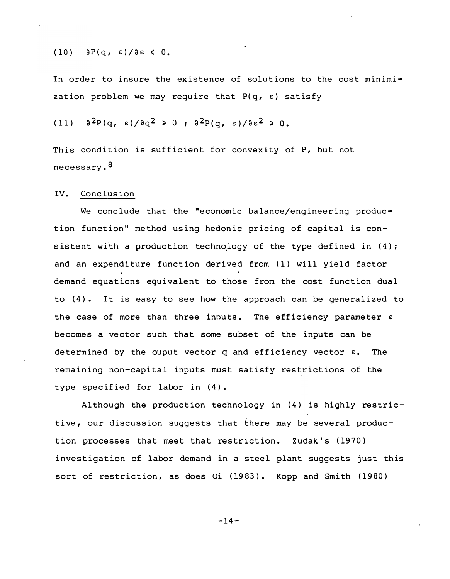$(10)$   $\partial P(q, \varepsilon)/\partial \varepsilon < 0.$ 

In order to insure the existence of solutions to the cost minimization problem we may require that  $P(q, \varepsilon)$  satisfy

(11)  $a^2P(q, \epsilon)/aq^2 > 0$ ;  $a^2P(q, \epsilon)/ae^2 > 0$ .

This condition is sufficient for convexity of  $P$ , but not necessary.<sup>8</sup>

#### IV. Conclusion

We conclude that the "economic balance/engineering production function" method using hedonic pricing of capital is consistent with a production technology of the type defined in  $(4)$ ; and an expenditure function derived from (1) will yield factor demand equations equivalent to those from the cost function dual to  $(4)$ . It is easy to see how the approach can be generalized to the case of more than three inputs. The efficiency parameter  $\varepsilon$ becomes a vector such that some subset of the inputs can be determined by the ouput vector q and efficiency vector  $\varepsilon$ . The remaining non-capital inputs must satisfy restrictions of the type specified for labor in (4).

Although the production technology in (4) is highly restrictive, our discussion suggests that there may be several production processes that meet that restriction. Zudak's (1970) investigation of labor demand in a steel plant suggests just this sort of restriction, as does Oi (1983). Kopp and Smith (1980)

 $-14-$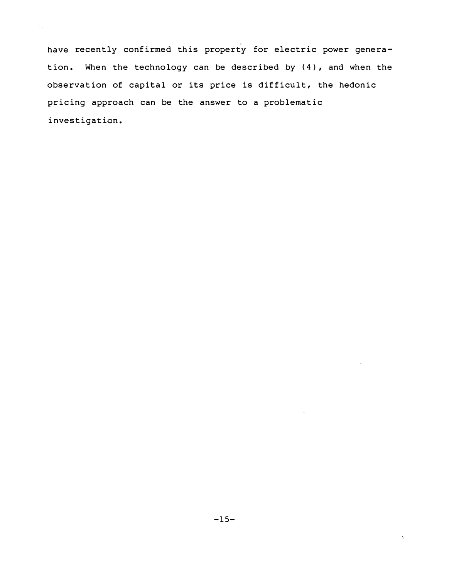have recently confirmed this property for electric power generation. When the technology can be described by (4), and when the observation of capital or its price is difficult, the hedonic pricing approach can be the answer to a problematic investigation.

 $\gamma_{\rm{eff}}$ 

 $\bar{\zeta}$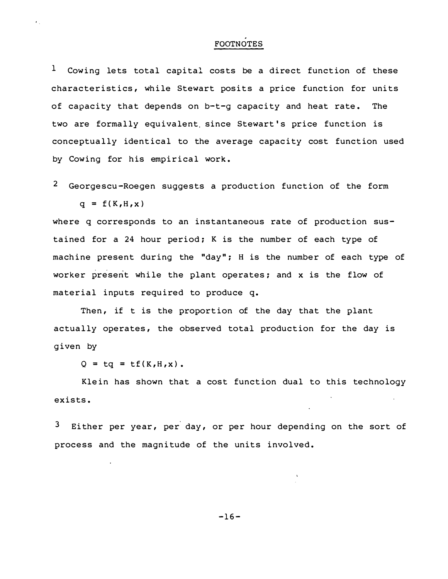### FOOTNOTES

 $^1$  Cowing lets total capital costs be a direct function of these characteristics, while Stewart posits a price function for units of capacity that depends on  $b-t-g$  capacity and heat rate. The two are formally equivalent. since Stewart's price function is conceptually identical to the average capacity cost function used by Cowing for his empirical work.

 $2$  Georgescu-Roegen suggests a production function of the form  $q = f(K,H,x)$ 

where q corresponds to an instantaneous rate of production sustained for a 24 hour period; K is the number of each type of machine present during the "day"; H is the number of each type of worker present while the plant operates; and x is the flow of material inputs required to produce q.

Then, if t is the proportion of the day that the plant actually operates, the observed total production for the day is given by

 $Q = tq = tf(K,H,x)$ .

Klein has shown that a cost function dual to this technology exists.

 $3$  Either per year, per day, or per hour depending on the sort of process and the magnitude of the units involved.

 $-16-$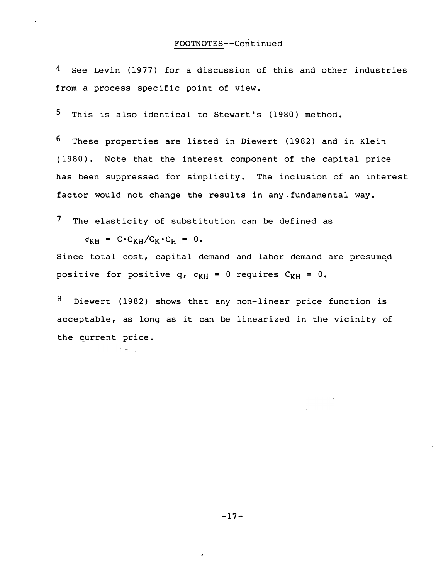$4$  See Levin (1977) for a discussion of this and other industries from a process specific point of view.

5 This is also identical to Stewart's (1980) method.

6 These properties are listed in Diewert (1982) and in Klein (1980). Note that the interest component of the capital price has been suppressed for simplicity. The inclusion of an interest factor would not change the results in any fundamental way.

7 The elasticity of substitution can be defined as

 $\sigma_{KH} = C \cdot C_{KH}/C_K \cdot C_H = 0.$ 

 $\sim 50$   $\mu\mu\mu\mu\mu\mu}$ 

Since total cost, capital demand and labor demand are presume<sub>,</sub>d positive for positive q,  $\sigma_{KH} = 0$  requires  $C_{KH} = 0$ .

8 Diewert (1982) shows that any non-linear price function is acceptable, as long as it can be linearized in the vicinity of the current price.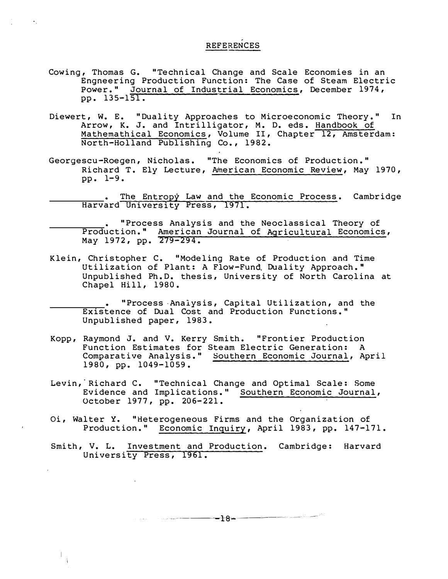# **REFERENCES**

Cowing, Thomas G. "Technical Change and Scale Economies in an Engneering Production Function: The Case of Steam Electric Power." Journal of Industrial Economics, December 1974, pp. 135-151.

 $\star_{\infty}$ 

- Diewert, W. E. "Duality Approaches to Microeconomic Theory." In Arrow, K. J. and Intrilligator, M. D. eds. Handbook of Mathemathical Economics, Volume II, Chapter 12, Amsterdam: N orth-Holland Publishing Co. , 1982.
- Georgescu-Roegen, Nicholas. "The Economics of Production." Richard T. Ely Lecture, American Economic Review, May 1970, pp. 1-9.
	- Entropy University Press, 1971. The Entropy Law and the Economic Process. Cambridge Harvard University Press,
	- Production." American Journal of Agricultural Economics, "Process Analysis and the Neoclassical Theory of May 1972, pp. 279-294.
- Klein, Christopher C. "Modeling Rate of Production and Time Utilization of Plant: A Flow-Fund. Duality Approach." Unpublished Ph. D. thesis, University of North Carolina at Chapel Hill, 1980.
	- "Process Analysis, Capital Utilization, and the Existence of Dual Cost and Production Functions." Unpublished paper, 1983.
- Kopp, Raymond J. and V. Kerry Smith. " Frontier Production Function Estimates for Steam Electric Generation: A Comparative Analysis. " Southern Economic Journal, April 1980, pp. 1049-1059.
- October 1977, pp. 206-221. Levin, Richard C. "Technical Change and Optimal Scale: Some Evidence and Implications." Southern Economic Journal,
- Production." Economic Inquiry, April 1983, pp. 147-171. Oi, Walter Y. "Heterogeneous Firms and the Organization of
- Smith, V. L. Investment and Production. Cambridge: Harvard University Press, 1961.

-----------ra-...--------.